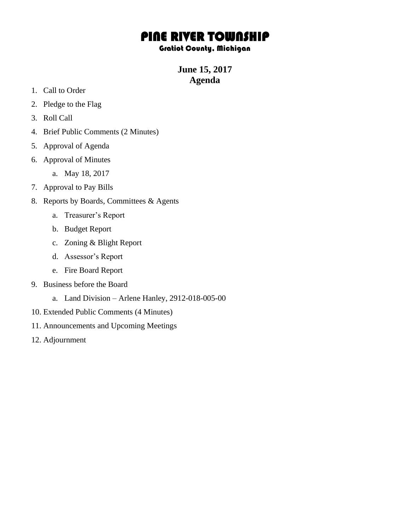## PINE RIVER TOWNSHIP

## Gratiot County, Michigan

**June 15, 2017 Agenda**

- 1. Call to Order
- 2. Pledge to the Flag
- 3. Roll Call
- 4. Brief Public Comments (2 Minutes)
- 5. Approval of Agenda
- 6. Approval of Minutes
	- a. May 18, 2017
- 7. Approval to Pay Bills
- 8. Reports by Boards, Committees & Agents
	- a. Treasurer's Report
	- b. Budget Report
	- c. Zoning & Blight Report
	- d. Assessor's Report
	- e. Fire Board Report
- 9. Business before the Board
	- a. Land Division Arlene Hanley, 2912-018-005-00
- 10. Extended Public Comments (4 Minutes)
- 11. Announcements and Upcoming Meetings
- 12. Adjournment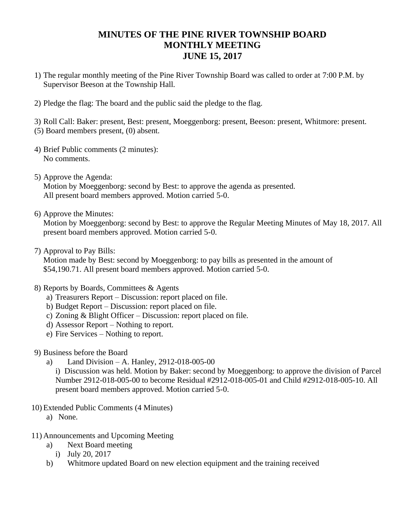## **MINUTES OF THE PINE RIVER TOWNSHIP BOARD MONTHLY MEETING JUNE 15, 2017**

- 1) The regular monthly meeting of the Pine River Township Board was called to order at 7:00 P.M. by Supervisor Beeson at the Township Hall.
- 2) Pledge the flag: The board and the public said the pledge to the flag.

3) Roll Call: Baker: present, Best: present, Moeggenborg: present, Beeson: present, Whitmore: present. (5) Board members present, (0) absent.

- 4) Brief Public comments (2 minutes): No comments.
- 5) Approve the Agenda: Motion by Moeggenborg: second by Best: to approve the agenda as presented. All present board members approved. Motion carried 5-0.
- 6) Approve the Minutes:

Motion by Moeggenborg: second by Best: to approve the Regular Meeting Minutes of May 18, 2017. All present board members approved. Motion carried 5-0.

7) Approval to Pay Bills:

Motion made by Best: second by Moeggenborg: to pay bills as presented in the amount of \$54,190.71. All present board members approved. Motion carried 5-0.

- 8) Reports by Boards, Committees & Agents
	- a) Treasurers Report Discussion: report placed on file.
	- b) Budget Report Discussion: report placed on file.
	- c) Zoning & Blight Officer Discussion: report placed on file.
	- d) Assessor Report Nothing to report.
	- e) Fire Services Nothing to report.
- 9) Business before the Board
	- a) Land Division A. Hanley, 2912-018-005-00

i) Discussion was held. Motion by Baker: second by Moeggenborg: to approve the division of Parcel Number 2912-018-005-00 to become Residual #2912-018-005-01 and Child #2912-018-005-10. All present board members approved. Motion carried 5-0.

- 10) Extended Public Comments (4 Minutes)
	- a) None.
- 11) Announcements and Upcoming Meeting
	- a) Next Board meeting
		- i) July 20, 2017
	- b) Whitmore updated Board on new election equipment and the training received